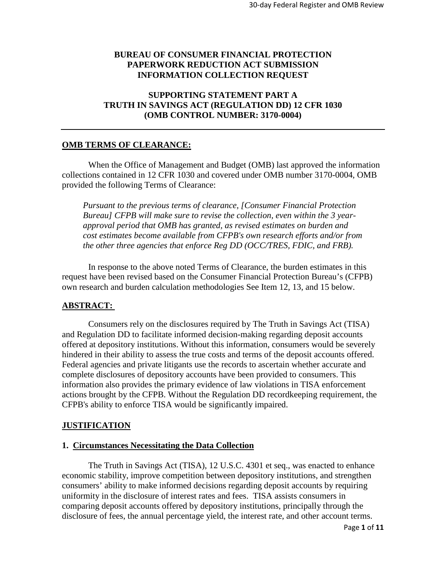# **BUREAU OF CONSUMER FINANCIAL PROTECTION PAPERWORK REDUCTION ACT SUBMISSION INFORMATION COLLECTION REQUEST**

# **SUPPORTING STATEMENT PART A TRUTH IN SAVINGS ACT (REGULATION DD) 12 CFR 1030 (OMB CONTROL NUMBER: 3170-0004)**

## **OMB TERMS OF CLEARANCE:**

When the Office of Management and Budget (OMB) last approved the information collections contained in 12 CFR 1030 and covered under OMB number 3170-0004, OMB provided the following Terms of Clearance:

*Pursuant to the previous terms of clearance, [Consumer Financial Protection Bureau] CFPB will make sure to revise the collection, even within the 3 yearapproval period that OMB has granted, as revised estimates on burden and cost estimates become available from CFPB's own research efforts and/or from the other three agencies that enforce Reg DD (OCC/TRES, FDIC, and FRB).*

In response to the above noted Terms of Clearance, the burden estimates in this request have been revised based on the Consumer Financial Protection Bureau's (CFPB) own research and burden calculation methodologies See Item 12, 13, and 15 below.

# **ABSTRACT:**

Consumers rely on the disclosures required by The Truth in Savings Act (TISA) and Regulation DD to facilitate informed decision-making regarding deposit accounts offered at depository institutions. Without this information, consumers would be severely hindered in their ability to assess the true costs and terms of the deposit accounts offered. Federal agencies and private litigants use the records to ascertain whether accurate and complete disclosures of depository accounts have been provided to consumers. This information also provides the primary evidence of law violations in TISA enforcement actions brought by the CFPB. Without the Regulation DD recordkeeping requirement, the CFPB's ability to enforce TISA would be significantly impaired.

## **JUSTIFICATION**

#### **1. Circumstances Necessitating the Data Collection**

The Truth in Savings Act (TISA), 12 U.S.C. 4301 et seq., was enacted to enhance economic stability, improve competition between depository institutions, and strengthen consumers' ability to make informed decisions regarding deposit accounts by requiring uniformity in the disclosure of interest rates and fees. TISA assists consumers in comparing deposit accounts offered by depository institutions, principally through the disclosure of fees, the annual percentage yield, the interest rate, and other account terms.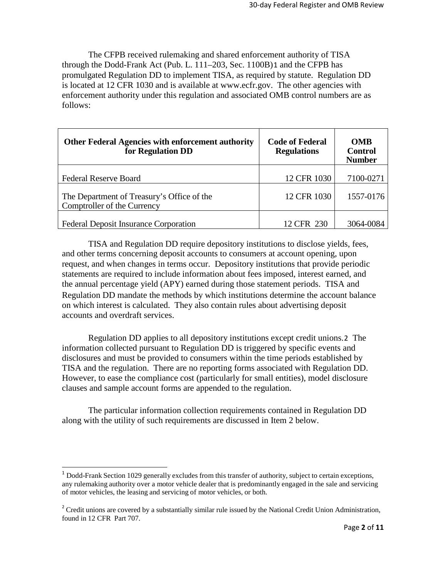The CFPB received rulemaking and shared enforcement authority of TISA through the Dodd-Frank Act (Pub. L. 111–203, Sec. 1100B)[1](#page-1-0) and the CFPB has promulgated Regulation DD to implement TISA, as required by statute. Regulation DD is located at 12 CFR 1030 and is available [at www.ecfr.gov.](http://www.ecfr.gov/) The other agencies with enforcement authority under this regulation and associated OMB control numbers are as follows:

| Other Federal Agencies with enforcement authority<br>for Regulation DD    | <b>Code of Federal</b><br><b>Regulations</b> | <b>OMB</b><br><b>Control</b><br><b>Number</b> |  |
|---------------------------------------------------------------------------|----------------------------------------------|-----------------------------------------------|--|
| <b>Federal Reserve Board</b>                                              | 12 CFR 1030                                  | 7100-0271                                     |  |
| The Department of Treasury's Office of the<br>Comptroller of the Currency | 12 CFR 1030                                  | 1557-0176                                     |  |
| <b>Federal Deposit Insurance Corporation</b>                              | 12 CFR 230                                   | 3064-0084                                     |  |

TISA and Regulation DD require depository institutions to disclose yields, fees, and other terms concerning deposit accounts to consumers at account opening, upon request, and when changes in terms occur. Depository institutions that provide periodic statements are required to include information about fees imposed, interest earned, and the annual percentage yield (APY) earned during those statement periods. TISA and Regulation DD mandate the methods by which institutions determine the account balance on which interest is calculated. They also contain rules about advertising deposit accounts and overdraft services.

Regulation DD applies to all depository institutions except credit unions.[2](#page-1-1) The information collected pursuant to Regulation DD is triggered by specific events and disclosures and must be provided to consumers within the time periods established by TISA and the regulation. There are no reporting forms associated with Regulation DD. However, to ease the compliance cost (particularly for small entities), model disclosure clauses and sample account forms are appended to the regulation.

The particular information collection requirements contained in Regulation DD along with the utility of such requirements are discussed in Item 2 below.

<span id="page-1-0"></span><sup>&</sup>lt;sup>1</sup> Dodd-Frank Section 1029 generally excludes from this transfer of authority, subject to certain exceptions, any rulemaking authority over a motor vehicle dealer that is predominantly engaged in the sale and servicing of motor vehicles, the leasing and servicing of motor vehicles, or both.

<span id="page-1-1"></span><sup>&</sup>lt;sup>2</sup> Credit unions are covered by a substantially similar rule issued by the National Credit Union Administration, found in 12 CFR Part 707.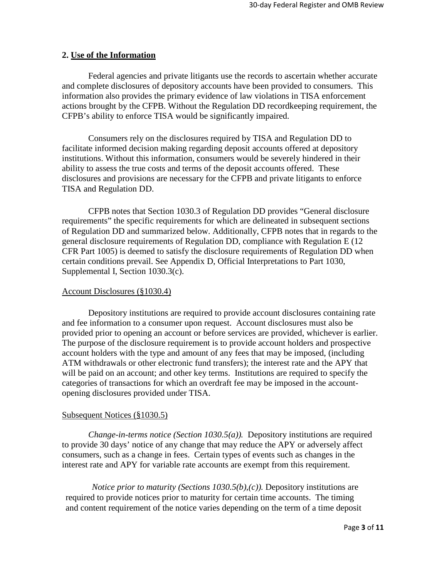#### **2. Use of the Information**

Federal agencies and private litigants use the records to ascertain whether accurate and complete disclosures of depository accounts have been provided to consumers. This information also provides the primary evidence of law violations in TISA enforcement actions brought by the CFPB. Without the Regulation DD recordkeeping requirement, the CFPB's ability to enforce TISA would be significantly impaired.

Consumers rely on the disclosures required by TISA and Regulation DD to facilitate informed decision making regarding deposit accounts offered at depository institutions. Without this information, consumers would be severely hindered in their ability to assess the true costs and terms of the deposit accounts offered. These disclosures and provisions are necessary for the CFPB and private litigants to enforce TISA and Regulation DD.

CFPB notes that Section 1030.3 of Regulation DD provides "General disclosure requirements" the specific requirements for which are delineated in subsequent sections of Regulation DD and summarized below. Additionally, CFPB notes that in regards to the general disclosure requirements of Regulation DD, compliance with Regulation E (12 CFR Part 1005) is deemed to satisfy the disclosure requirements of Regulation DD when certain conditions prevail. See Appendix D, Official Interpretations to Part 1030, Supplemental I, Section 1030.3(c).

#### Account Disclosures (§1030.4)

Depository institutions are required to provide account disclosures containing rate and fee information to a consumer upon request. Account disclosures must also be provided prior to opening an account or before services are provided, whichever is earlier. The purpose of the disclosure requirement is to provide account holders and prospective account holders with the type and amount of any fees that may be imposed, (including ATM withdrawals or other electronic fund transfers); the interest rate and the APY that will be paid on an account; and other key terms. Institutions are required to specify the categories of transactions for which an overdraft fee may be imposed in the accountopening disclosures provided under TISA.

## Subsequent Notices (§1030.5)

*Change-in-terms notice (Section 1030.5(a)).* Depository institutions are required to provide 30 days' notice of any change that may reduce the APY or adversely affect consumers, such as a change in fees. Certain types of events such as changes in the interest rate and APY for variable rate accounts are exempt from this requirement.

*Notice prior to maturity (Sections 1030.5(b),(c)).* Depository institutions are required to provide notices prior to maturity for certain time accounts. The timing and content requirement of the notice varies depending on the term of a time deposit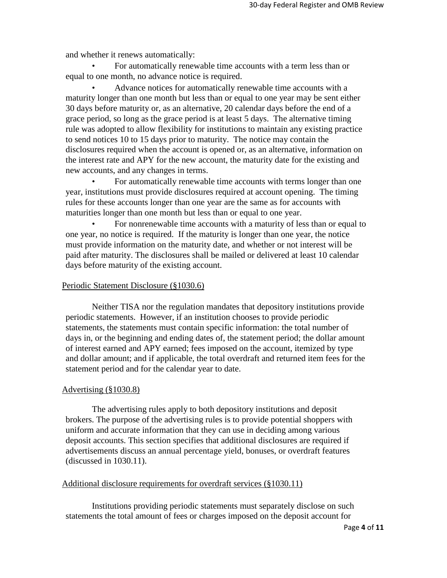and whether it renews automatically:

• For automatically renewable time accounts with a term less than or equal to one month, no advance notice is required.

• Advance notices for automatically renewable time accounts with a maturity longer than one month but less than or equal to one year may be sent either 30 days before maturity or, as an alternative, 20 calendar days before the end of a grace period, so long as the grace period is at least 5 days. The alternative timing rule was adopted to allow flexibility for institutions to maintain any existing practice to send notices 10 to 15 days prior to maturity. The notice may contain the disclosures required when the account is opened or, as an alternative, information on the interest rate and APY for the new account, the maturity date for the existing and new accounts, and any changes in terms.

• For automatically renewable time accounts with terms longer than one year, institutions must provide disclosures required at account opening. The timing rules for these accounts longer than one year are the same as for accounts with maturities longer than one month but less than or equal to one year.

• For nonrenewable time accounts with a maturity of less than or equal to one year, no notice is required. If the maturity is longer than one year, the notice must provide information on the maturity date, and whether or not interest will be paid after maturity. The disclosures shall be mailed or delivered at least 10 calendar days before maturity of the existing account.

#### Periodic Statement Disclosure (§1030.6)

Neither TISA nor the regulation mandates that depository institutions provide periodic statements. However, if an institution chooses to provide periodic statements, the statements must contain specific information: the total number of days in, or the beginning and ending dates of, the statement period; the dollar amount of interest earned and APY earned; fees imposed on the account, itemized by type and dollar amount; and if applicable, the total overdraft and returned item fees for the statement period and for the calendar year to date.

#### Advertising (§1030.8)

The advertising rules apply to both depository institutions and deposit brokers. The purpose of the advertising rules is to provide potential shoppers with uniform and accurate information that they can use in deciding among various deposit accounts. This section specifies that additional disclosures are required if advertisements discuss an annual percentage yield, bonuses, or overdraft features (discussed in 1030.11).

#### Additional disclosure requirements for overdraft services (§1030.11)

Institutions providing periodic statements must separately disclose on such statements the total amount of fees or charges imposed on the deposit account for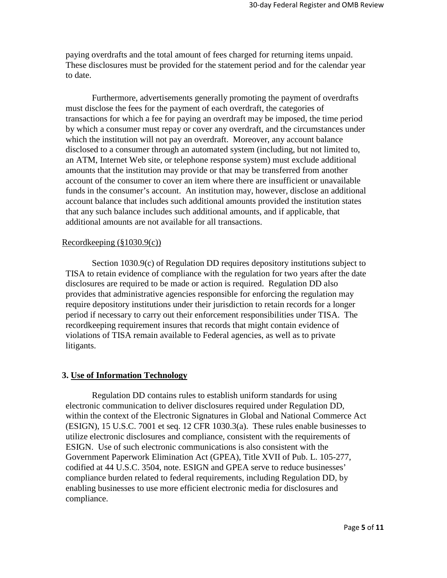paying overdrafts and the total amount of fees charged for returning items unpaid. These disclosures must be provided for the statement period and for the calendar year to date.

Furthermore, advertisements generally promoting the payment of overdrafts must disclose the fees for the payment of each overdraft, the categories of transactions for which a fee for paying an overdraft may be imposed, the time period by which a consumer must repay or cover any overdraft, and the circumstances under which the institution will not pay an overdraft. Moreover, any account balance disclosed to a consumer through an automated system (including, but not limited to, an ATM, Internet Web site, or telephone response system) must exclude additional amounts that the institution may provide or that may be transferred from another account of the consumer to cover an item where there are insufficient or unavailable funds in the consumer's account. An institution may, however, disclose an additional account balance that includes such additional amounts provided the institution states that any such balance includes such additional amounts, and if applicable, that additional amounts are not available for all transactions.

#### Recordkeeping (§1030.9(c))

Section 1030.9(c) of Regulation DD requires depository institutions subject to TISA to retain evidence of compliance with the regulation for two years after the date disclosures are required to be made or action is required. Regulation DD also provides that administrative agencies responsible for enforcing the regulation may require depository institutions under their jurisdiction to retain records for a longer period if necessary to carry out their enforcement responsibilities under TISA. The recordkeeping requirement insures that records that might contain evidence of violations of TISA remain available to Federal agencies, as well as to private litigants.

## **3. Use of Information Technology**

Regulation DD contains rules to establish uniform standards for using electronic communication to deliver disclosures required under Regulation DD, within the context of the Electronic Signatures in Global and National Commerce Act (ESIGN), 15 U.S.C. 7001 et seq. 12 CFR 1030.3(a). These rules enable businesses to utilize electronic disclosures and compliance, consistent with the requirements of ESIGN. Use of such electronic communications is also consistent with the Government Paperwork Elimination Act (GPEA), Title XVII of Pub. L. 105-277, codified at 44 U.S.C. 3504, note. ESIGN and GPEA serve to reduce businesses' compliance burden related to federal requirements, including Regulation DD, by enabling businesses to use more efficient electronic media for disclosures and compliance.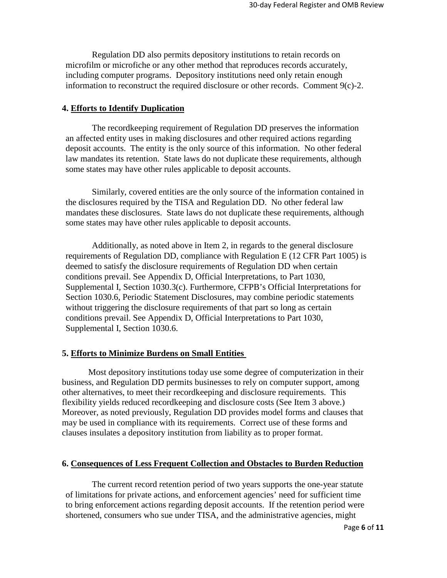Regulation DD also permits depository institutions to retain records on microfilm or microfiche or any other method that reproduces records accurately, including computer programs. Depository institutions need only retain enough information to reconstruct the required disclosure or other records. Comment 9(c)-2.

## **4. Efforts to Identify Duplication**

The recordkeeping requirement of Regulation DD preserves the information an affected entity uses in making disclosures and other required actions regarding deposit accounts. The entity is the only source of this information. No other federal law mandates its retention. State laws do not duplicate these requirements, although some states may have other rules applicable to deposit accounts.

Similarly, covered entities are the only source of the information contained in the disclosures required by the TISA and Regulation DD. No other federal law mandates these disclosures. State laws do not duplicate these requirements, although some states may have other rules applicable to deposit accounts.

Additionally, as noted above in Item 2, in regards to the general disclosure requirements of Regulation DD, compliance with Regulation E (12 CFR Part 1005) is deemed to satisfy the disclosure requirements of Regulation DD when certain conditions prevail. See Appendix D, Official Interpretations, to Part 1030, Supplemental I, Section 1030.3(c). Furthermore, CFPB's Official Interpretations for Section 1030.6, Periodic Statement Disclosures, may combine periodic statements without triggering the disclosure requirements of that part so long as certain conditions prevail. See Appendix D, Official Interpretations to Part 1030, Supplemental I, Section 1030.6.

# **5. Efforts to Minimize Burdens on Small Entities**

Most depository institutions today use some degree of computerization in their business, and Regulation DD permits businesses to rely on computer support, among other alternatives, to meet their recordkeeping and disclosure requirements. This flexibility yields reduced recordkeeping and disclosure costs (See Item 3 above.) Moreover, as noted previously, Regulation DD provides model forms and clauses that may be used in compliance with its requirements. Correct use of these forms and clauses insulates a depository institution from liability as to proper format.

# **6. Consequences of Less Frequent Collection and Obstacles to Burden Reduction**

The current record retention period of two years supports the one-year statute of limitations for private actions, and enforcement agencies' need for sufficient time to bring enforcement actions regarding deposit accounts. If the retention period were shortened, consumers who sue under TISA, and the administrative agencies, might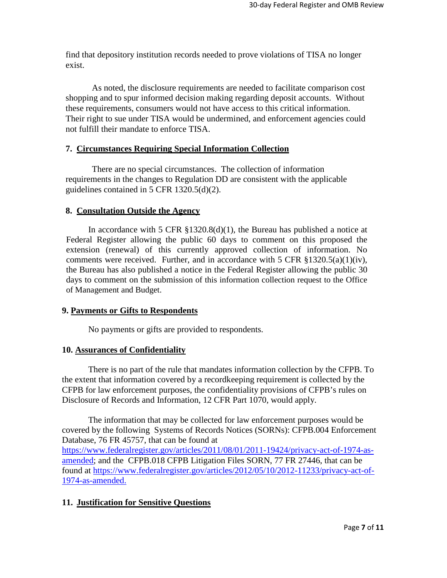find that depository institution records needed to prove violations of TISA no longer exist.

As noted, the disclosure requirements are needed to facilitate comparison cost shopping and to spur informed decision making regarding deposit accounts. Without these requirements, consumers would not have access to this critical information. Their right to sue under TISA would be undermined, and enforcement agencies could not fulfill their mandate to enforce TISA.

## **7. Circumstances Requiring Special Information Collection**

There are no special circumstances. The collection of information requirements in the changes to Regulation DD are consistent with the applicable guidelines contained in 5 CFR 1320.5(d)(2).

#### **8. Consultation Outside the Agency**

In accordance with 5 CFR  $\S 1320.8(d)(1)$ , the Bureau has published a notice at Federal Register allowing the public 60 days to comment on this proposed the extension (renewal) of this currently approved collection of information. No comments were received. Further, and in accordance with 5 CFR  $\S 1320.5(a)(1)(iv)$ , the Bureau has also published a notice in the Federal Register allowing the public 30 days to comment on the submission of this information collection request to the Office of Management and Budget.

#### **9. Payments or Gifts to Respondents**

No payments or gifts are provided to respondents.

#### **10. Assurances of Confidentiality**

There is no part of the rule that mandates information collection by the CFPB. To the extent that information covered by a recordkeeping requirement is collected by the CFPB for law enforcement purposes, the confidentiality provisions of CFPB's rules on Disclosure of Records and Information, 12 CFR Part 1070, would apply.

The information that may be collected for law enforcement purposes would be covered by the following Systems of Records Notices (SORNs): CFPB.004 Enforcement Database, 76 FR 45757, that can be found at [https://www.federalregister.gov/articles/2011/08/01/2011-19424/privacy-act-of-1974-as](https://www.federalregister.gov/articles/2011/08/01/2011-19424/privacy-act-of-1974-as-amended)[amended;](https://www.federalregister.gov/articles/2011/08/01/2011-19424/privacy-act-of-1974-as-amended) and the CFPB.018 CFPB Litigation Files SORN, 77 FR 27446, that can be found at [https://www.federalregister.gov/articles/2012/05/10/2012-11233/privacy-act-of-](https://www.federalregister.gov/articles/2012/05/10/2012-11233/privacy-act-of-1974-as-amended.)[1974-as-amended.](https://www.federalregister.gov/articles/2012/05/10/2012-11233/privacy-act-of-1974-as-amended.)

# **11. Justification for Sensitive Questions**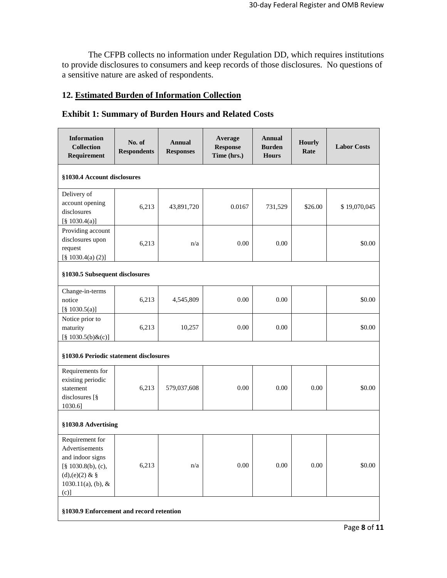The CFPB collects no information under Regulation DD, which requires institutions to provide disclosures to consumers and keep records of those disclosures. No questions of a sensitive nature are asked of respondents.

# **12. Estimated Burden of Information Collection**

| <b>Information</b><br><b>Collection</b><br>Requirement                                                                                | No. of<br><b>Respondents</b>           | <b>Annual</b><br><b>Responses</b> | Average<br><b>Response</b><br>Time (hrs.) | Annual<br><b>Burden</b><br><b>Hours</b> | <b>Hourly</b><br>Rate | <b>Labor Costs</b> |
|---------------------------------------------------------------------------------------------------------------------------------------|----------------------------------------|-----------------------------------|-------------------------------------------|-----------------------------------------|-----------------------|--------------------|
| §1030.4 Account disclosures                                                                                                           |                                        |                                   |                                           |                                         |                       |                    |
| Delivery of<br>account opening<br>disclosures<br>$[\S 1030.4(a)]$                                                                     | 6,213                                  | 43,891,720                        | 0.0167                                    | 731,529                                 | \$26.00               | \$19,070,045       |
| Providing account<br>disclosures upon<br>request<br>$[\S 1030.4(a) (2)]$                                                              | 6,213                                  | n/a                               | 0.00                                      | 0.00                                    |                       | \$0.00             |
| §1030.5 Subsequent disclosures                                                                                                        |                                        |                                   |                                           |                                         |                       |                    |
| Change-in-terms<br>notice<br>$[\S 1030.5(a)]$                                                                                         | 6,213                                  | 4,545,809                         | 0.00                                      | 0.00                                    |                       | \$0.00             |
| Notice prior to<br>maturity<br>$[§ 1030.5(b) \&(c)]$                                                                                  | 6,213                                  | 10,257                            | 0.00                                      | 0.00                                    |                       | \$0.00             |
|                                                                                                                                       | §1030.6 Periodic statement disclosures |                                   |                                           |                                         |                       |                    |
| Requirements for<br>existing periodic<br>statement<br>disclosures [§<br>1030.6]                                                       | 6,213                                  | 579,037,608                       | 0.00                                      | 0.00                                    | 0.00                  | \$0.00             |
| §1030.8 Advertising                                                                                                                   |                                        |                                   |                                           |                                         |                       |                    |
| Requirement for<br>Advertisements<br>and indoor signs<br>$[\S 1030.8(b), (c),$<br>(d), (e)(2) & $\S$<br>$1030.11(a)$ , (b), &<br>(c)] | 6,213                                  | n/a                               | 0.00                                      | 0.00                                    | 0.00                  | \$0.00             |
| §1030.9 Enforcement and record retention                                                                                              |                                        |                                   |                                           |                                         |                       |                    |

# **Exhibit 1: Summary of Burden Hours and Related Costs**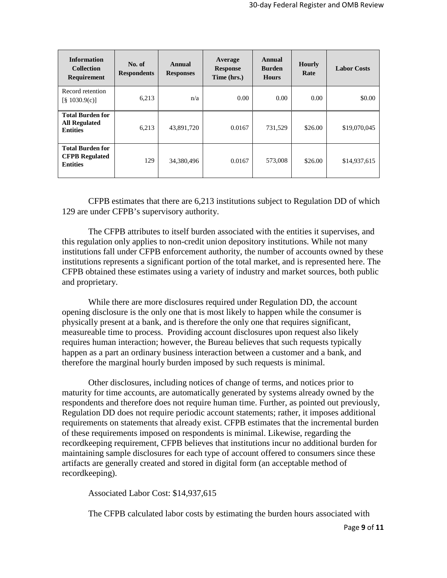| <b>Information</b><br><b>Collection</b><br><b>Requirement</b>       | No. of<br><b>Respondents</b> | Annual<br><b>Responses</b> | Average<br><b>Response</b><br>Time (hrs.) | Annual<br><b>Burden</b><br><b>Hours</b> | <b>Hourly</b><br>Rate | <b>Labor Costs</b> |
|---------------------------------------------------------------------|------------------------------|----------------------------|-------------------------------------------|-----------------------------------------|-----------------------|--------------------|
| Record retention<br>$\lbrack 8 \rbrack 1030.9(c) \rbrack$           | 6,213                        | n/a                        | 0.00                                      | 0.00                                    | 0.00                  | \$0.00             |
| <b>Total Burden for</b><br><b>All Regulated</b><br><b>Entities</b>  | 6,213                        | 43,891,720                 | 0.0167                                    | 731,529                                 | \$26.00               | \$19,070,045       |
| <b>Total Burden for</b><br><b>CFPB</b> Regulated<br><b>Entities</b> | 129                          | 34,380,496                 | 0.0167                                    | 573,008                                 | \$26.00               | \$14,937,615       |

CFPB estimates that there are 6,213 institutions subject to Regulation DD of which 129 are under CFPB's supervisory authority.

The CFPB attributes to itself burden associated with the entities it supervises, and this regulation only applies to non-credit union depository institutions. While not many institutions fall under CFPB enforcement authority, the number of accounts owned by these institutions represents a significant portion of the total market, and is represented here. The CFPB obtained these estimates using a variety of industry and market sources, both public and proprietary.

While there are more disclosures required under Regulation DD, the account opening disclosure is the only one that is most likely to happen while the consumer is physically present at a bank, and is therefore the only one that requires significant, measureable time to process. Providing account disclosures upon request also likely requires human interaction; however, the Bureau believes that such requests typically happen as a part an ordinary business interaction between a customer and a bank, and therefore the marginal hourly burden imposed by such requests is minimal.

Other disclosures, including notices of change of terms, and notices prior to maturity for time accounts, are automatically generated by systems already owned by the respondents and therefore does not require human time. Further, as pointed out previously, Regulation DD does not require periodic account statements; rather, it imposes additional requirements on statements that already exist. CFPB estimates that the incremental burden of these requirements imposed on respondents is minimal. Likewise, regarding the recordkeeping requirement, CFPB believes that institutions incur no additional burden for maintaining sample disclosures for each type of account offered to consumers since these artifacts are generally created and stored in digital form (an acceptable method of recordkeeping).

Associated Labor Cost: \$14,937,615

The CFPB calculated labor costs by estimating the burden hours associated with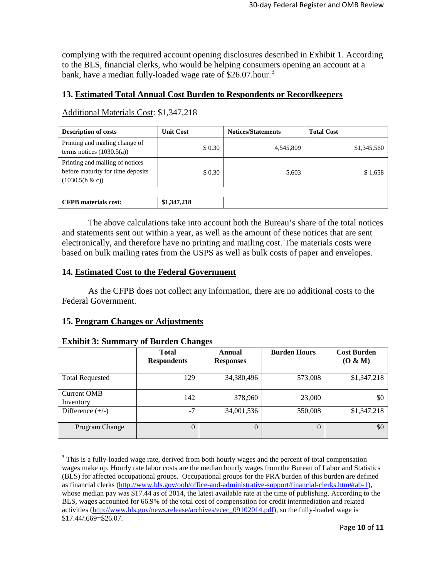complying with the required account opening disclosures described in Exhibit 1. According to the BLS, financial clerks, who would be helping consumers opening an account at a bank, have a median fully-loaded wage rate of \$26.07.hour.<sup>[3](#page-9-0)</sup>

# **13. Estimated Total Annual Cost Burden to Respondents or Recordkeepers**

Additional Materials Cost: \$1,347,218

| <b>Description of costs</b>                                                             | <b>Unit Cost</b> | <b>Notices/Statements</b> | <b>Total Cost</b> |
|-----------------------------------------------------------------------------------------|------------------|---------------------------|-------------------|
| Printing and mailing change of<br>terms notices $(1030.5(a))$                           | \$0.30           | 4,545,809                 | \$1,345,560       |
| Printing and mailing of notices<br>before maturity for time deposits<br>(1030.5(b & c)) | \$0.30           | 5,603                     | \$1,658           |
|                                                                                         |                  |                           |                   |
| <b>CFPB</b> materials cost:                                                             | \$1,347,218      |                           |                   |

The above calculations take into account both the Bureau's share of the total notices and statements sent out within a year, as well as the amount of these notices that are sent electronically, and therefore have no printing and mailing cost. The materials costs were based on bulk mailing rates from the USPS as well as bulk costs of paper and envelopes.

# **14. Estimated Cost to the Federal Government**

As the CFPB does not collect any information, there are no additional costs to the Federal Government.

# **15. Program Changes or Adjustments**

|                          | <b>Total</b><br><b>Respondents</b> | Annual<br><b>Responses</b> | <b>Burden Hours</b> | <b>Cost Burden</b><br>(O & M) |
|--------------------------|------------------------------------|----------------------------|---------------------|-------------------------------|
| <b>Total Requested</b>   | 129                                | 34,380,496                 | 573,008             | \$1,347,218                   |
| Current OMB<br>Inventory | 142                                | 378,960                    | 23,000              | \$0                           |
| Difference $(+/-)$       | $-7$                               | 34,001,536                 | 550,008             | \$1,347,218                   |
| Program Change           | $\Omega$                           |                            | $\theta$            | \$0                           |

## **Exhibit 3: Summary of Burden Changes**

<span id="page-9-0"></span><sup>&</sup>lt;sup>3</sup> This is a fully-loaded wage rate, derived from both hourly wages and the percent of total compensation wages make up. Hourly rate labor costs are the median hourly wages from the Bureau of Labor and Statistics (BLS) for affected occupational groups. Occupational groups for the PRA burden of this burden are defined as financial clerks [\(http://www.bls.gov/ooh/office-and-administrative-support/financial-clerks.htm#tab-1\)](http://www.bls.gov/ooh/office-and-administrative-support/financial-clerks.htm#tab-1), whose median pay was \$17.44 as of 2014, the latest available rate at the time of publishing. According to the BLS, wages accounted for 66.9% of the total cost of compensation for credit intermediation and related activities [\(http://www.bls.gov/news.release/archives/ecec\\_09102014.pdf\)](http://www.bls.gov/news.release/archives/ecec_09102014.pdf), so the fully-loaded wage is \$17.44/.669=\$26.07.